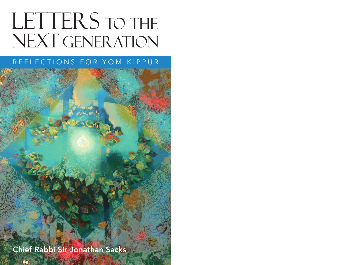# **LETTERS TO THE** NEXT GENERATION

## REFLECTIONS FOR YOM KIPPUR

Chief Rabbi Sir Jonathan Sacks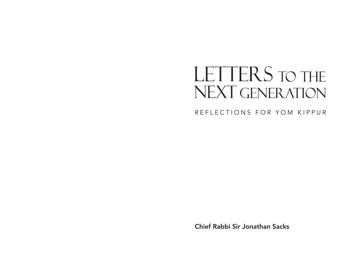## LETTERS TO THE NEXT GENERATION

REFLECTIONS FOR YOM KIPPUR

Chief Rabbi Sir Jonathan Sacks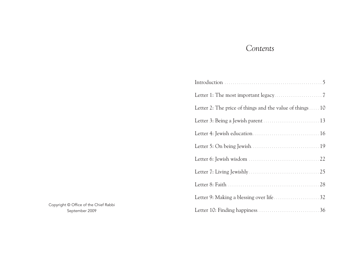## *Contents*

| Letter 2: The price of things and the value of things  10 |
|-----------------------------------------------------------|
|                                                           |
|                                                           |
|                                                           |
|                                                           |
|                                                           |
|                                                           |
|                                                           |
|                                                           |

Copyright © Office of the Chief Rabbi September 2009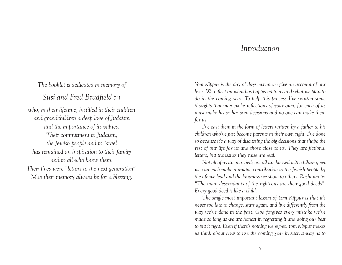## *Introduction*

*The booklet is dedicated in memory of*

*Susi and Fred Bradfield* k"z

*who, in their lifetime, instilled in their children and grandchildren a deep love of Judaism and the importance of its values. Their commitment to Judaism, the Jewish people and to Israel has remained an inspiration to their family and to all who knew them. Their lives were "letters to the next generation". May their memory always be for a blessing.*

*Yom Kippur is the day of days, when we give an account of our lives. We reflect on what has happened to us and what we plan to do in the coming year. To help this process I've written some thoughts that may evoke reflections of your own, for each of us must make his or her own decisions and no one can make them for us.*

*I've cast them in the form of letters written by a father to his children who've just become parents in their own right. I've done so because it's a way of discussing the big decisions that shape the rest of our life for us and those close to us. They are fictional letters, but the issues they raise are real.*

*Not all of us are married; not all are blessed with children; yet we can each make a unique contribution to the Jewish people by the life we lead and the kindness we show to others. Rashi wrote: "The main descendants of the righteous are their good deeds". Every good deed is like a child.*

*The single most important lesson of Yom Kippur is that it's never too late to change, start again, and live differently from the way we've done in the past. God forgives every mistake we've made so long as we are honest in regretting it and doing our best to put it right. Even if there's nothing we regret, Yom Kippur makes us think about how to use the coming year in such a way as to*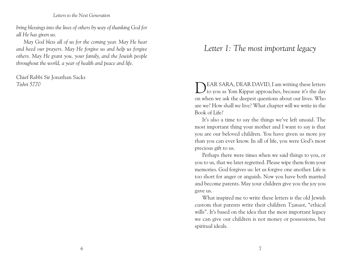*bring blessings into the lives of others by way of thanking God for all He has given us.*

*May God bless all of us for the coming year. May He hear and heed our prayers. May He forgive us and help us forgive others. May He grant you, your family, and the Jewish people throughout the world, a year of health and peace and life.*

Chief Rabbi Sir Jonathan Sacks *Tishri 5770*

## *Letter 1: The most important legacy*

DEAR SARA, DEAR DAVID, <sup>I</sup> am writing these letters to you as Yom Kippur approaches, because it's the day on when we ask the deepest questions about our lives. Who are we? How shall we live? What chapter will we write in the Book of Life?

It's also a time to say the things we've left unsaid. The most important thing your mother and I want to say is that you are our beloved children. You have given us more joy than you can ever know. In all of life, you were God's most precious gift to us.

Perhaps there were times when we said things to you, or you to us, that we later regretted. Please wipe them from your memories. God forgives us: let us forgive one another. Life is too short for anger or anguish. Now you have both married and become parents. May your children give you the joy you gave us.

What inspired me to write these letters is the old Jewish custom that parents write their children *Tzavaot*, "ethical wills". It's based on the idea that the most important legacy we can give our children is not money or possessions, but spiritual ideals.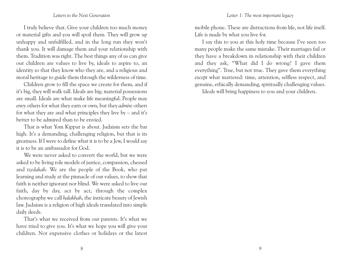#### *Letter 1: The most important legacy*

#### *Letters to the Next Generation*

I truly believe that. Give your children too much money or material gifts and you will spoil them. They will grow up unhappy and unfulfilled, and in the long run they won't thank you. It will damage them and your relationship with them. Tradition was right. The best things any of us can give our children are values to live by, ideals to aspire to, an identity so that they know who they are, and a religious and moral heritage to guide them through the wilderness of time.

Children grow to fill the space we create for them, and if it's big, they will walk tall. Ideals are big; material possessions are small. Ideals are what make life meaningful. People may *envy* others for what they earn or own, but they *admire* others for what they are and what principles they live by – and it's better to be admired than to be envied.

That is what Yom Kippur is about. Judaism sets the bar high. It's a demanding, challenging religion, but that is its greatness. If I were to define what it is to be a Jew, I would say it is to be an ambassador for God.

We were never asked to convert the world, but we were asked to be living role models of justice, compassion, chessed and *tzedakah*. We are the people of the Book, who put learning and study at the pinnacle of our values, to show that faith is neither ignorant nor blind. We were asked to live our faith, day by day, act by act, through the complex choreography we call *halakhah*, the intricate beauty of Jewish law. Judaism is a religion of high ideals translated into simple daily deeds.

That's what we received from our parents. It's what we have tried to give you. It's what we hope you will give your children. Not expensive clothes or holidays or the latest

mobile phone. These are distractions from life, not life itself. Life is made by what you live for.

I say this to you at this holy time because I've seen too many people make the same mistake. Their marriages fail or they have a breakdown in relationship with their children and they ask, "What did I do wrong? I gave them everything". True, but not true. They gave them everything *except* what mattered: time, attention, selfless respect, and genuine, ethically demanding, spiritually challenging values.

Ideals will bring happiness to you and your children.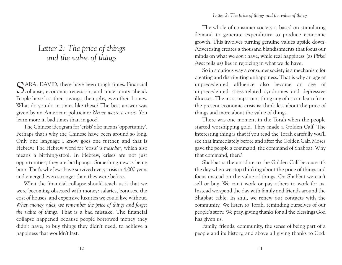## *Letter 2: The price of things and the value of things*

SARA, DAVID, these have been tough times. Financial collapse, economic recession, and uncertainty ahead. People have lost their savings, their jobs, even their homes. What do you do in times like these? The best answer was given by an American politician: *Never waste a crisis*. You learn more in bad times than in good.

The Chinese ideogram for 'crisis' also means 'opportunity'. Perhaps that's why the Chinese have been around so long. Only one language I know goes one further, and that is Hebrew. The Hebrew word for 'crisis' is *mashber*, which also means a birthing-stool. In Hebrew, crises are not just opportunities; they are birthpangs. Something new is being born. That's why Jews have survived every crisis in 4,000 years and emerged even stronger than they were before.

What the financial collapse should teach us is that we were becoming obsessed with money: salaries, bonuses, the cost of houses, and expensive luxuries we could live without. *When money rules, we remember the price of things and forget the value of things*. That is a bad mistake. The financial collapse happened because people borrowed money they didn't have, to buy things they didn't need, to achieve a happiness that wouldn't last.

#### *Letter 2: The price of things and the value of things*

The whole of consumer society is based on stimulating demand to generate expenditure to produce economic growth. This involves turning genuine values upside down. Advertising creates a thousand blandishments that focus our minds on what we *don't* have, while real happiness (as *Pirkei Avot* tells us) lies in rejoicing in what we *do* have.

So in a curious way a consumer society is a mechanism for creating and distributing unhappiness. That is why an age of unprecedented affluence also became an age of unprecedented stress-related syndromes and depressive illnesses. The most important thing any of us can learn from the present economic crisis is: think less about the price of things and more about the value of things.

There was one moment in the Torah when the people started worshipping gold. They made a Golden Calf. The interesting thing is that if you read the Torah carefully you'll see that immediately before and after the Golden Calf, Moses gave the people a command, the command of Shabbat. Why that command, then?

Shabbat is the antidote to the Golden Calf because it's the day when we stop thinking about the price of things and focus instead on the value of things. On Shabbat we can't sell or buy. We can't work or pay others to work for us. Instead we spend the day with family and friends around the Shabbat table. In shul, we renew our contacts with the community. We listen to Torah, reminding ourselves of our people's story. We pray, giving thanks for all the blessings God has given us.

Family, friends, community, the sense of being part of a people and its history, and above all giving thanks to God: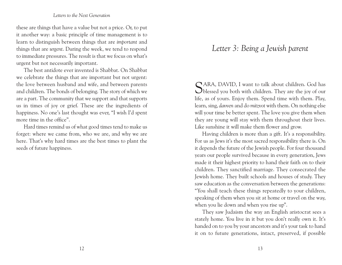these are things that have a value but not a price. Or, to put it another way: a basic principle of time management is to learn to distinguish between things that are *important* and things that are *urgent*. During the week, we tend to respond to immediate pressures. The result is that we focus on what's urgent but not necessarily important.

The best antidote ever invented is Shabbat. On Shabbat we celebrate the things that are important but not urgent: the love between husband and wife, and between parents and children. The bonds of belonging. The story of which we are a part. The community that we support and that supports us in times of joy or grief. These are the ingredients of happiness. No one's last thought was ever, "I wish I'd spent more time in the office".

Hard times remind us of what good times tend to make us forget: where we came from, who we are, and why we are here. That's why hard times are the best times to plant the seeds of future happiness.

## *Letter 3: Being a Jewish parent*

 $\bigcap$  ARA, DAVID, I want to talk about children. God has **O**blessed you both with children. They are the joy of our life, as of yours. Enjoy them. Spend time with them. Play, learn, sing, *davven* and do *mitzvot* with them. On nothing else will your time be better spent. The love you give them when they are young will stay with them throughout their lives. Like sunshine it will make them flower and grow.

Having children is more than a gift. It's a responsibility. For us as Jews it's the most sacred responsibility there is. On it depends the future of the Jewish people. For four thousand years our people survived because in every generation, Jews made it their highest priority to hand their faith on to their children. They sanctified marriage. They consecrated the Jewish home. They built schools and houses of study. They saw education as the conversation between the generations: "You shall teach these things repeatedly to your children, speaking of them when you sit at home or travel on the way, when you lie down and when you rise up".

They saw Judaism the way an English aristocrat sees a stately home. You live in it but you don't really own it. It's handed on to you by your ancestors and it's your task to hand it on to future generations, intact, preserved, if possible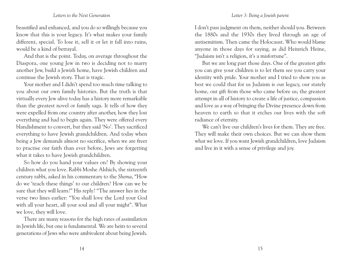#### *Letter 3: Being a Jewish parent*

#### *Letters to the Next Generation*

beautified and enhanced, and you do so willingly because you know that this is your legacy. It's what makes your family different, special. To lose it, sell it or let it fall into ruins, would be a kind of betrayal.

And that is the point. Today, on average throughout the Diaspora, one young Jew in two is deciding not to marry another Jew, build a Jewish home, have Jewish children and continue the Jewish story. That is tragic.

Your mother and I didn't spend too much time talking to you about our own family histories. But the truth is that virtually every Jew alive today has a history more remarkable than the greatest novel or family saga. It tells of how they were expelled from one country after another, how they lost everything and had to begin again. They were offered every blandishment to convert, but they said 'No'. They sacrificed everything to have Jewish grandchildren. And today when being a Jew demands almost no sacrifice, when we are freer to practise our faith than ever before, Jews are forgetting what it takes to have Jewish grandchildren.

So how do you hand your values on? By showing your children what you love. Rabbi Moshe Alshich, the sixteenth century rabbi, asked in his commentary to the *Shema*, "How do we 'teach these things' to our children? How can we be sure that they will learn?" His reply? "The answer lies in the verse two lines earlier: "You shall love the Lord your God with all your heart, all your soul and all your might". What we love, they will love.

There are many reasons for the high rates of assimilation in Jewish life, but one is fundamental. We are heirs to several generations of Jews who were ambivalent about being Jewish. I don't pass judgment on them, neither should you. Between the 1880s and the 1930s they lived through an age of antisemitism. Then came the Holocaust. Who would blame anyone in those days for saying, as did Heinrich Heine, "Judaism isn't a religion, it's a misfortune".

But we are long past those days. One of the greatest gifts you can give your children is to let them see you carry your identity with pride. Your mother and I tried to show you as best we could that for us Judaism is our legacy, our stately home, our gift from those who came before us; the greatest attempt in all of history to create a life of justice, compassion and love as a way of bringing the Divine presence down from heaven to earth so that it etches our lives with the soft radiance of eternity.

We can't live our children's lives for them. They are free. They will make their own choices. But we can show them what we love. If you want Jewish grandchildren, love Judaism and live in it with a sense of privilege and joy.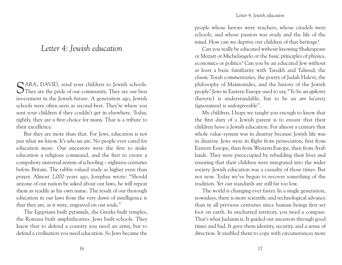#### *Letter 4: Jewish education*

## *Letter 4: Jewish education*

SARA, DAVID, send your children to Jewish schools.<br>They are the pride of our community. They are our best investment in the Jewish future. A generation ago, Jewish schools were often seen as second-best. They're where you sent your children if they couldn't get in elsewhere. Today, rightly, they are a first choice for many. That is a tribute to their excellence.

But they are more than that. For Jews, education is not just what we know. It's *who we are*. No people ever cared for education more. Our ancestors were the first to make education a religious command, and the first to create a compulsory universal system of schooling – eighteen centuries before Britain. The rabbis valued study as higher even than prayer. Almost 2,000 years ago, Josephus wrote: "Should anyone of our nation be asked about our laws, he will repeat them as readily as his own name. The result of our thorough education in our laws from the very dawn of intelligence is that they are, as it were, engraved on our souls."

The Egyptians built pyramids, the Greeks built temples, the Romans built amphitheatres. Jews built schools. They knew that to defend a country you need an army, but to defend a civilisation you need education. So Jews became the people whose heroes were teachers, whose citadels were schools, and whose passion was study and the life of the mind. How can we deprive our children of that heritage?

Can you really be educated without knowing Shakespeare or Mozart or Michelangelo or the basic principles of physics, economics or politics? Can you be an educated Jew without at least a basic familiarity with Tanakh and Talmud, the classic Torah commentaries, the poetry of Judah Halevi, the philosophy of Maimonides, and the history of the Jewish people? Jews in Eastern Europe used to say, "To be an *apikores* (heretic) is understandable, but to be an *am ha'aretz* (ignoramus) is unforgiveable".

My children, I hope we taught you enough to know that the first duty of a Jewish parent is to ensure that their children have a Jewish education. For almost a century that whole value-system was in disarray because Jewish life was in disarray. Jews were in flight from persecution, first from Eastern Europe, then from Western Europe, then from Arab lands. They were preoccupied by rebuilding their lives and ensuring that their children were integrated into the wider society. Jewish education was a casualty of those times. But not now. Today we've begun to recover something of the tradition. Yet our standards are still far too low.

The world is changing ever faster. In a single generation, nowadays, there is more scientific and technological advance than in all previous centuries since human beings first set foot on earth. In uncharted territory, you need a compass. That's what Judaism is. It guided our ancestors through good times and bad. It gave them identity, security, and a sense of direction. It enabled them to cope with circumstances more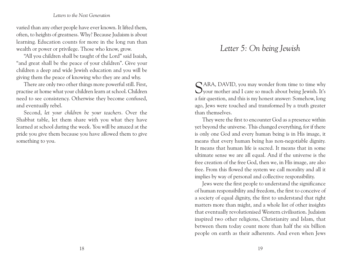varied than any other people have ever known. It lifted them, often, to heights of greatness. Why? Because Judaism is about learning. Education counts for more in the long run than wealth or power or privilege. Those who know, grow.

"All you children shall be taught of the Lord" said Isaiah, "and great shall be the peace of your children". Give your children a deep and wide Jewish education and you will be giving them the peace of knowing who they are and why.

There are only two other things more powerful still. First, practise at home what your children learn at school. Children need to see consistency. Otherwise they become confused, and eventually rebel.

Second, *let your children be your teachers*. Over the Shabbat table, let them share with you what they have learned at school during the week. You will be amazed at the pride you give them because you have allowed them to give something to you.

## *Letter 5: On being Jewish*

SARA, DAVID, you may wonder from time to time why your mother and I care so much about being Jewish. It's a fair question, and this is my honest answer: Somehow, long ago, Jews were touched and transformed by a truth greater than themselves.

They were the first to encounter God as a presence within yet beyond the universe. This changed everything, for if there is only one God and every human being is in His image, it means that every human being has non-negotiable dignity. It means that human life is sacred. It means that in some ultimate sense we are all equal. And if the universe is the free creation of the free God, then we, in His image, are also free. From this flowed the system we call morality and all it implies by way of personal and collective responsibility.

Jews were the first people to understand the significance of human responsibility and freedom, the first to conceive of a society of equal dignity, the first to understand that right matters more than might, and a whole list of other insights that eventually revolutionised Western civilisation. Judaism inspired two other religions, Christianity and Islam, that between them today count more than half the six billion people on earth as their adherents. And even when Jews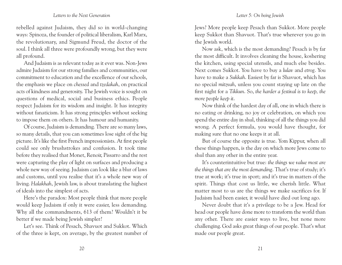rebelled against Judaism, they did so in world-changing ways: Spinoza, the founder of political liberalism, Karl Marx, the revolutionary, and Sigmund Freud, the doctor of the soul. I think all three were profoundly wrong, but they were all profound.

And Judaism is as relevant today as it ever was. Non-Jews admire Judaism for our strong families and communities, our commitment to education and the excellence of our schools, the emphasis we place on *chessed* and *tzedakah*, on practical acts of kindness and generosity. The Jewish voice is sought on questions of medical, social and business ethics. People respect Judaism for its wisdom and insight. It has integrity without fanaticism. It has strong principles without seeking to impose them on others. It has humour and humanity.

Of course, Judaism is demanding. There are so many laws, so many details, that you can sometimes lose sight of the big picture. It's like the first French impressionists. At first people could see only brushstrokes and confusion. It took time before they realised that Monet, Renoir, Pissarro and the rest were capturing the play of light on surfaces and producing a whole new way of seeing. Judaism can look like a blur of laws and customs, until you realise that it's a whole new way of living. *Halakhah*, Jewish law, is about translating the highest of ideals into the simplest of acts.

Here's the paradox: Most people think that more people would keep Judaism if only it were easier, less demanding. Why all the commandments, 613 of them? Wouldn't it be better if we made being Jewish simpler?

Let's see. Think of Pesach, Shavuot and Sukkot. Which of the three is kept, on average, by the greatest number of Jews? More people keep Pesach than Sukkot. More people keep Sukkot than Shavuot. That's true wherever you go in the Jewish world.

Now ask, which is the most demanding? Pesach is by far the most difficult. It involves cleaning the house, koshering the kitchen, using special utensils, and much else besides. Next comes Sukkot. You have to buy a *lulav* and *etrog*. You have to make a *Sukkah*. Easiest by far is Shavuot, which has no special *mitzvah*, unless you count staying up late on the first night for a *Tikkun*. So, *the harder a festival is to keep, the more people keep it*.

Now think of the hardest day of all, one in which there is no eating or drinking, no joy or celebration, on which you spend the entire day in shul, thinking of all the things you did wrong. A perfect formula, you would have thought, for making sure that no one keeps it at all.

But of course the opposite is true. Yom Kippur, when all these things happen, is the day on which more Jews come to shul than any other in the entire year.

It's counterintuitive but true: *the things we value most are the things that are the most demanding*. That's true of study; it's true at work; it's true in sport; and it's true in matters of the spirit. Things that cost us little, we cherish little. What matter most to us are the things we make sacrifices for. If Judaism had been easier, it would have died out long ago.

Never doubt that it's a privilege to be a Jew. Head for head our people have done more to transform the world than any other. There are easier ways to live, but none more challenging. God asks great things of our people. That's what made our people great.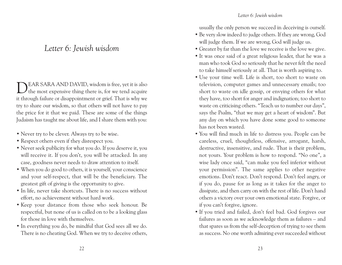## *Letter 6: Jewish wisdom*

DEAR SARA AND DAVID, wisdom is free, yet it is also the most expensive thing there is, for we tend acquire it through failure or disappointment or grief. That is why we try to share our wisdom, so that others will not have to pay the price for it that we paid. These are some of the things Judaism has taught me about life, and I share them with you:

- Never try to be clever. Always try to be wise.
- Respect others even if they disrespect you.
- Never seek publicity for what you do. If you deserve it, you will receive it. If you don't, you will be attacked. In any case, goodness never needs to draw attention to itself.
- When you do good to others, it is yourself, your conscience and your self-respect, that will be the beneficiary. The greatest gift of giving is the opportunity to give.
- In life, never take shortcuts. There is no success without effort, no achievement without hard work.
- Keep your distance from those who seek honour. Be respectful, but none of us is called on to be a looking glass for those in love with themselves.
- In everything you do, be mindful that God sees all we do. There is no cheating God. When we try to deceive others,

usually the only person we succeed in deceiving is ourself.

- Be very slow indeed to judge others. If they are wrong, God will judge them. If we are wrong, God will judge us.
- Greater by far than the love we receive is the love we give.
- It was once said of a great religious leader, that he was a man who took God so seriously that he never felt the need to take himself seriously at all. That is worth aspiring to.
- Use your time well. Life is short, too short to waste on television, computer games and unnecessary emails; too short to waste on idle gossip, or envying others for what they have, too short for anger and indignation; too short to waste on criticising others. "Teach us to number our days", says the Psalm, "that we may get a heart of wisdom". But any day on which you have done some good to someone has not been wasted.
- You will find much in life to distress you. People can be careless, cruel, thoughtless, offensive, arrogant, harsh, destructive, insensitive, and rude. That is their problem, not yours. Your problem is how to respond. "No one", a wise lady once said, "can make you feel inferior without your permission". The same applies to other negative emotions. Don't react. Don't respond. Don't feel angry, or if you do, pause for as long as it takes for the anger to dissipate, and then carry on with the rest of life. Don't hand others a victory over your own emotional state. Forgive, or if you can't forgive, ignore.
- If you tried and failed, don't feel bad. God forgives our failures as soon as we acknowledge them as failures – and that spares us from the self-deception of trying to see them as success. No one worth admiring ever succeeded without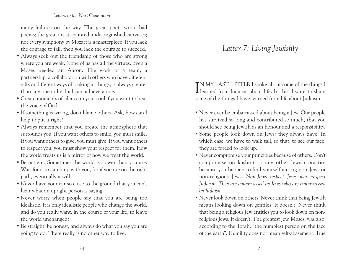many failures on the way. The great poets wrote bad poems; the great artists painted undistinguished canvases; not every symphony by Mozart is a masterpiece. If you lack the courage to fail, then you lack the courage to succeed.

- Always seek out the friendship of those who are strong where you are weak. None of us has all the virtues. Even a Moses needed an Aaron. The work of a team, a partnership, a collaboration with others who have different gifts or different ways of looking at things, is always greater than any one individual can achieve alone.
- Create moments of silence in your soul if you want to hear the voice of God.
- If something is wrong, don't blame others. Ask, how can I help to put it right?
- Always remember that you create the atmosphere that surrounds you. If you want others to smile, you must smile. If you want others to give, you must give. If you want others to respect you, you must show your respect for them. How the world treats us is a mirror of how we treat the world.
- Be patient. Sometimes the world is slower than you are. Wait for it to catch up with you, for if you are on the right path, eventually it will.
- Never have your ear so close to the ground that you can't hear what an upright person is saying.
- Never worry when people say that you are being too idealistic. It is only idealistic people who change the world, and do you really want, in the course of your life, to leave the world unchanged?
- Be straight, be honest, and always do what you say you are going to do. There really is no other way to live.

## *Letter 7: Living Jewishly*

IN MY LAST LETTER I spoke about some of the things I learned from Judaism about life. In this, I want to share N MY LAST LETTER I spoke about some of the things I some of the things I have learned from life about Judaism.

- Never ever be embarrassed about being a Jew. Our people has survived so long and contributed so much, that you should see being Jewish as an honour and a responsibility.
- Some people look down on Jews: they always have. In which case, we have to walk tall, so that, to see our face, they are forced to look up.
- Never compromise your principles because of others. Don't compromise on kashrut or any other Jewish practise because you happen to find yourself among non-Jews or non-religious Jews. *Non-Jews respect Jews who respect Judaism. They are embarrassed by Jews who are embarrassed by Judaism.*
- Never look down on others. Never think that being Jewish means looking down on gentiles. It doesn't. Never think that being a religious Jew entitles you to look down on nonreligious Jews. It doesn't. The greatest Jew, Moses, was also, according to the Torah, "the humblest person on the face of the earth". Humility does not mean self-abasement. True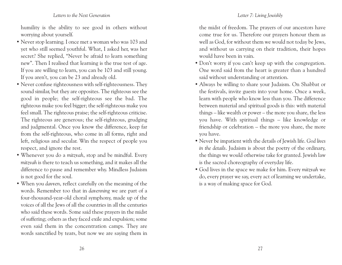humility is the ability to see good in others without worrying about yourself.

- Never stop learning. I once met a woman who was 103 and yet who still seemed youthful. What, I asked her, was her secret? She replied, "Never be afraid to learn something new". Then I realised that learning is the true test of age. If you are willing to learn, you can be 103 and still young. If you aren't, you can be 23 and already old.
- Never confuse righteousness with self-righteousness. They sound similar, but they are opposites. The righteous see the good in people; the self-righteous see the bad. The righteous make you feel bigger; the self-righteous make you feel small. The righteous praise; the self-righteous criticise. The righteous are generous; the self-righteous, grudging and judgmental. Once you know the difference, keep far from the self-righteous, who come in all forms, right and left, religious and secular. Win the respect of people you respect, and ignore the rest.
- Whenever you do a *mitzvah*, stop and be mindful. Every *mitzvah* is there to teach us something, and it makes all the difference to pause and remember why. Mindless Judaism is not good for the soul.
- When you *davven*, reflect carefully on the meaning of the words. Remember too that in *davenning* we are part of a four-thousand-year-old choral symphony, made up of the voices of all the Jews of all the countries in all the centuries who said these words. Some said these prayers in the midst of suffering; others as they faced exile and expulsion; some even said them in the concentration camps. They are words sanctified by tears, but now we are saying them in

the midst of freedom. The prayers of our ancestors have come true for us. Therefore our prayers honour them as well as God, for without them we would not today be Jews, and without us carrying on their tradition, their hopes would have been in vain.

- Don't worry if you can't keep up with the congregation. One word said from the heart is greater than a hundred said without understanding or attention.
- Always be willing to share your Judaism. On Shabbat or the festivals, invite guests into your home. Once a week, learn with people who know less than you. The difference between material and spiritual goods is this: with material things – like wealth or power – the more you share, the less you have. With spiritual things – like knowledge or friendship or celebration – the more you share, the more you have.
- Never be impatient with the details of Jewish life. *God lives in the details*. Judaism is about the poetry of the ordinary, the things we would otherwise take for granted. Jewish law is the sacred choreography of everyday life.
- God lives in the space we make for him. Every *mitzvah* we do, every prayer we say, every act of learning we undertake, is a way of making space for God.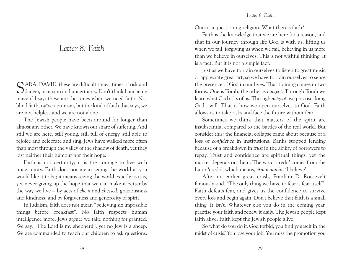## *Letter 8: Faith*

SARA, DAVID, these are difficult times, times of risk and danger, recession and uncertainty. Don't think I am being naïve if I say: these are the times when we need faith. Not blind faith, naïve optimism, but the kind of faith that says, we are not helpless and we are not alone.

The Jewish people have been around for longer than almost any other. We have known our share of suffering. And still we are here, still young, still full of energy, still able to rejoice and celebrate and sing. Jews have walked more often than most through the valley of the shadow of death, yet they lost neither their humour nor their hope.

Faith is not certainty; it is the courage to live with uncertainty. Faith does not mean seeing the world as you would like it to be; it means seeing the world exactly as it is, yet never giving up the hope that we can make it better by the way we live – by acts of *chein* and *chessed*, graciousness and kindness, and by forgiveness and generosity of spirit.

In Judaism, faith does not mean "believing six impossible things before breakfast". No faith respects human intelligence more. Jews argue: we take nothing for granted. We say, "The Lord is my shepherd", yet no Jew is a sheep. We are commanded to teach our children to ask questions.

Ours is a questioning religion. What then is faith?

Faith is the knowledge that we are here for a reason, and that in our journey through life God is with us, lifting us when we fall, forgiving us when we fail, believing in us more than we believe in ourselves. This is not wishful thinking. It is a fact. But it is not a simple fact.

Just as we have to train ourselves to listen to great music or appreciate great art, so we have to train ourselves to sense the presence of God in our lives. That training comes in two forms. One is Torah, the other is *mitzvot*. Through Torah we learn what God asks of us. Through *mitzvot*, we practise doing God's will. That is how we open ourselves to God. Faith allows us to take risks and face the future without fear.

Sometimes we think that matters of the spirit are insubstantial compared to the battles of the real world. But consider this: the financial collapse came about because of a loss of *confidence* in institutions. Banks stopped lending because of a breakdown in *trust* in the ability of borrowers to repay. Trust and confidence are spiritual things, yet the market depends on them. The word 'credit' comes from the Latin 'credo', which means, *Ani maamin*, 'I believe'.

After an earlier great crash, Franklin D. Roosevelt famously said, "The only thing we have to fear is fear itself". Faith defeats fear, and gives us the confidence to survive every loss and begin again. Don't believe that faith is a small thing. It isn't. Whatever else you do in the coming year, practise your faith and renew it daily. The Jewish people kept faith alive. Faith kept the Jewish people alive.

So what do you do if, God forbid, you find yourself in the midst of crisis? You lose your job. You miss the promotion you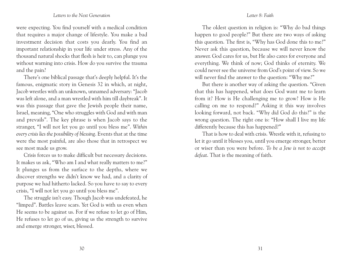were expecting. You find yourself with a medical condition that requires a major change of lifestyle. You make a bad investment decision that costs you dearly. You find an important relationship in your life under stress. Any of the thousand natural shocks that flesh is heir to, can plunge you without warning into crisis. How do you survive the trauma and the pain?

There's one biblical passage that's deeply helpful. It's the famous, enigmatic story in Genesis 32 in which, at night, Jacob wrestles with an unknown, unnamed adversary: "Jacob was left alone, and a man wrestled with him till daybreak". It was this passage that gave the Jewish people their name, Israel, meaning, "One who struggles with God and with man and prevails". The key phrase is when Jacob says to the stranger, "I will not let you go until you bless me". *Within every crisis lies the possibility of blessing*. Events that at the time were the most painful, are also those that in retrospect we see most made us grow.

Crisis forces us to make difficult but necessary decisions. It makes us ask, "Who am I and what really matters to me?" It plunges us from the surface to the depths, where we discover strengths we didn't know we had, and a clarity of purpose we had hitherto lacked. So you have to say to every crisis, "I will not let you go until you bless me".

The struggle isn't easy. Though Jacob was undefeated, he "limped". Battles leave scars. Yet God is with us even when He seems to be against us. For if we refuse to let go of Him, He refuses to let go of us, giving us the strength to survive and emerge stronger, wiser, blessed.

#### *Letter 8: Faith*

The oldest question in religion is: "Why do bad things happen to good people?" But there are two ways of asking this question. The first is, "Why has God done this to me?" Never ask this question, because we will never know the answer. God cares for us, but He also cares for everyone and everything. We think of now; God thinks of eternity. We could never see the universe from God's point of view. So we will never find the answer to the question: "Why me?"

But there is another way of asking the question. "Given that this has happened, what does God want me to learn from it? How is He challenging me to grow? How is He calling on me to respond?" Asking it this way involves looking forward, not back. "Why did God do this?" is the wrong question. The right one is: "How shall I live my life differently because this has happened?"

That is how to deal with crisis. Wrestle with it, refusing to let it go until it blesses you, until you emerge stronger, better or wiser than you were before. *To be a Jew is not to accept defeat*. That is the meaning of faith.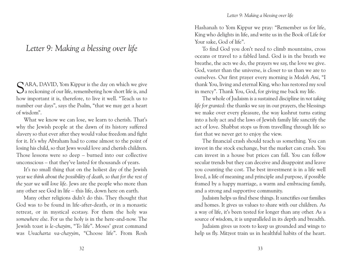## *Letter 9: Making a blessing over life*

SARA, DAVID, Yom Kippur is the day on which we give a reckoning of our life, remembering how short life is, and how important it is, therefore, to live it well. "Teach us to number our days", says the Psalm, "that we may get a heart of wisdom".

What we know we can lose, we learn to cherish. That's why the Jewish people at the dawn of its history suffered slavery so that ever after they would value freedom and fight for it. It's why Abraham had to come almost to the point of losing his child, so that Jews would love and cherish children. Those lessons were so deep – burned into our collective unconscious – that they've lasted for thousands of years.

It's no small thing that on the holiest day of the Jewish year *we think about the possibility of death, so that for the rest of the year we will love life*. Jews are the people who more than any other see God in life – this life, down here on earth.

Many other religions didn't do this. They thought that God was to be found in life-after-death, or in a monastic retreat, or in mystical ecstasy. For them the holy was *somewhere else*. For us the holy is in the here-and-now. The Jewish toast is *le-chayim*, "To life". Moses' great command was *Uvacharta va-chayyim*, "Choose life". From Rosh Hashanah to Yom Kippur we pray: "Remember us for life, King who delights in life, and write us in the Book of Life for Your sake, God of life".

To find God you don't need to climb mountains, cross oceans or travel to a fabled land. God is in the breath we breathe, the acts we do, the prayers we say, the love we give. God, vaster than the universe, is closer to us than we are to ourselves. Our first prayer every morning is *Modeh Ani*, "I thank You, living and eternal King, who has restored my soul in mercy". Thank You, God, for giving me back my life.

The whole of Judaism is a sustained discipline in *not taking life for granted*: the thanks we say in our prayers, the blessings we make over every pleasure, the way kashrut turns eating into a holy act and the laws of Jewish family life sanctify the act of love. Shabbat stops us from travelling through life so fast that we never get to enjoy the view.

The financial crash should teach us something. You can invest in the stock exchange, but the market can crash. You can invest in a house but prices can fall. You can follow secular trends but they can deceive and disappoint and leave you counting the cost. The best investment is in a life well lived, a life of meaning and principle and purpose, if possible framed by a happy marriage, a warm and embracing family, and a strong and supportive community.

Judaism helps us find these things. It sanctifies our families and homes. It gives us values to share with our children. As a way of life, it's been tested for longer than any other. As a source of wisdom, it is unparalleled in its depth and breadth.

Judaism gives us roots to keep us grounded and wings to help us fly. *Mitzvot* train us in healthful habits of the heart.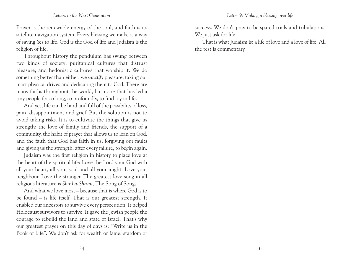Prayer is the renewable energy of the soul, and faith is its satellite navigation system. Every blessing we make is a way of saying Yes to life. God is the God of life and Judaism is the religion of life.

Throughout history the pendulum has swung between two kinds of society: puritanical cultures that distrust pleasure, and hedonistic cultures that worship it. We do something better than either: we *sanctify* pleasure, taking our most physical drives and dedicating them to God. There are many faiths throughout the world, but none that has led a tiny people for so long, so profoundly, to find joy in life.

And yes, life can be hard and full of the possibility of loss, pain, disappointment and grief. But the solution is not to avoid taking risks. It is to cultivate the things that give us strength: the love of family and friends, the support of a community, the habit of prayer that allows us to lean on God, and the faith that God has faith in us, forgiving our faults and giving us the strength, after every failure, to begin again.

Judaism was the first religion in history to place love at the heart of the spiritual life: Love the Lord your God with all your heart, all your soul and all your might. Love your neighbour. Love the stranger. The greatest love song in all religious literature is *Shir ha-Shirim*, The Song of Songs.

And what we love most – because that is where God is to be found – is life itself. That is our greatest strength. It enabled our ancestors to survive every persecution. It helped Holocaust survivors to survive. It gave the Jewish people the courage to rebuild the land and state of Israel. That's why our greatest prayer on this day of days is: "Write us in the Book of Life". We don't ask for wealth or fame, stardom or

success. We don't pray to be spared trials and tribulations. We just ask for life.

That is what Judaism is: a life of love and a love of life. All the rest is commentary.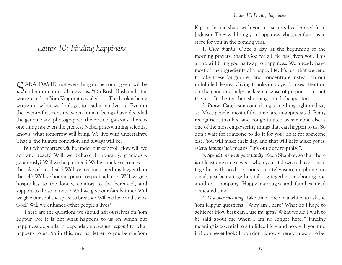## *Letter 10: Finding happiness*

 $\bigcap$  ARA, DAVID, not everything in the coming year will be under our control. It never is. "On Rosh Hashanah it is written and on Yom Kippur it is sealed …" The book is being written now but we don't get to read it in advance. Even in the twenty-first century, when human beings have decoded the genome and photographed the birth of galaxies, there is one thing not even the greatest Nobel prize-winning scientist knows: what tomorrow will bring. We live with uncertainty. That is the human condition and always will be.

But what matters *will* be under our control. How will we act and react? Will we behave honourably, graciously, generously? Will we help others? Will we make sacrifices for the sake of our ideals? Will we live for something bigger than the self? Will we honour, praise, respect, admire? Will we give hospitality to the lonely, comfort to the bereaved, and support to those in need? Will we give our family time? Will we give our soul the space to breathe? Will we love and thank God? Will we enhance other people's lives?

These are the questions we should ask ourselves on Yom Kippur. For it is not what happens to us on which our happiness depends. It depends on *how we respond* to what happens to us. So in this, my last letter to you before Yom Kippur, let me share with you ten secrets I've learned from Judaism. They will bring you happiness whatever fate has in store for you in the coming year.

1. *Give thanks*. Once a day, at the beginning of the morning prayers, thank God for all He has given you. This alone will bring you halfway to happiness. We already have most of the ingredients of a happy life. It's just that we tend to take these for granted and concentrate instead on our unfulfilled desires. Giving thanks in prayer focuses attention on the good and helps us keep a sense of proportion about the rest. It's better than shopping – and cheaper too.

2. *Praise*. Catch someone doing something right and say so. Most people, most of the time, are unappreciated. Being recognised, thanked and congratulated by someone else is one of the most empowering things that can happen to us. So don't wait for someone to do it for you: do it for someone else. You will make their day, and that will help make yours. *Alenu leshabe'ach* means, "It's our duty to praise".

3. *Spend time with your family*. Keep Shabbat, so that there is at least one time a week when you sit down to have a meal together with no distractions – no television, no phone, no email, just being together, talking together, celebrating one another's company. Happy marriages and families need dedicated time.

4. *Discover meaning*. Take time, once in a while, to ask the Yom Kippur questions, "Why am I here? What do I hope to achieve? How best can I use my gifts? What would I wish to be said about me when I am no longer here?" Finding meaning is essential to a fulfilled life – and how will you find it if you never look? If you don't know where you want to be,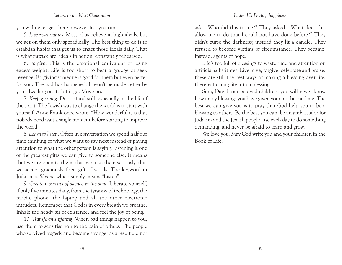you will never get there however fast you run.

5. *Live your values*. Most of us believe in high ideals, but we act on them only sporadically. The best thing to do is to establish habits that get us to enact those ideals daily. That is what *mitzvot* are: ideals in action, constantly rehearsed.

6. *Forgive*. This is the emotional equivalent of losing excess weight. Life is too short to bear a grudge or seek revenge. Forgiving someone is good for them but even better for you. The bad has happened. It won't be made better by your dwelling on it. Let it go. Move on.

7. *Keep growing*. Don't stand still, especially in the life of the spirit. The Jewish way to change the world is to start with yourself. Anne Frank once wrote: "How wonderful it is that nobody need wait a single moment before starting to improve the world".

8. *Learn to listen*. Often in conversation we spend half our time thinking of what we want to say next instead of paying attention to what the other person is saying. Listening is one of the greatest gifts we can give to someone else. It means that we are open to them, that we take them seriously, that we accept graciously their gift of words. The keyword in Judaism is *Shema*, which simply means "Listen".

9. *Create moments of silence in the soul*. Liberate yourself, if only five minutes daily, from the tyranny of technology, the mobile phone, the laptop and all the other electronic intruders. Remember that God is in every breath we breathe. Inhale the heady air of existence, and feel the joy of being.

10. *Transform suffering*. When bad things happen to you, use them to sensitise you to the pain of others. The people who survived tragedy and became stronger as a result did not

ask, "Who did this to me?" They asked, "What does this allow me to do that I could not have done before?" They didn't curse the darkness; instead they lit a candle. They refused to become victims of circumstance. They became, instead, agents of hope.

Life's too full of blessings to waste time and attention on artificial substitutes. Live, give, forgive, celebrate and praise: these are still the best ways of making a blessing over life, thereby turning life into a blessing.

Sara, David, our beloved children: you will never know how many blessings you have given your mother and me. The best we can give you is to pray that God help you to be a blessing to others. Be the best you can, be an ambassador for Judaism and the Jewish people, use each day to do something demanding, and never be afraid to learn and grow.

We love you. May God write you and your children in the Book of Life.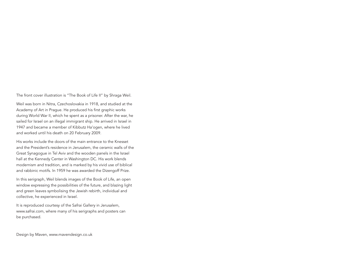The front cover illustration is "The Book of Life II" by Shraga Weil.

Weil was born in Nitra, Czechoslovakia in 1918, and studied at the Academy of Art in Prague. He produced his first graphic works during World War II, which he spent as a prisoner. After the war, he sailed for Israel on an illegal immigrant ship. He arrived in Israel in 1947 and became a member of Kibbutz Ha'ogen, where he lived and worked until his death on 20 February 2009.

His works include the doors of the main entrance to the Knesset and the President's residence in Jerusalem, the ceramic walls of the Great Synagogue in Tel Aviv and the wooden panels in the Israel hall at the Kennedy Center in Washington DC. His work blends modernism and tradition, and is marked by his vivid use of biblical and rabbinic motifs. In 1959 he was awarded the Dizengoff Prize.

In this serigraph, Weil blends images of the Book of Life, an open window expressing the possibilities of the future, and blazing light and green leaves symbolising the Jewish rebirth, individual and collective, he experienced in Israel.

It is reproduced courtesy of the Safrai Gallery in Jerusalem, www.safrai.com, where many of his serigraphs and posters can be purchased.

Design by Maven, www.mavendesign.co.uk